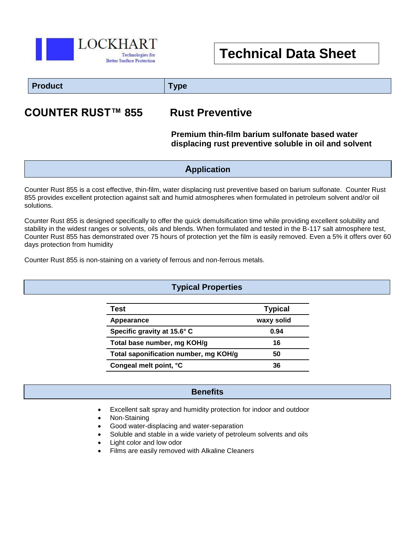

# **Technical Data Sheet**

## **Product Type**

## **COUNTER RUST™ 855 Rust Preventive**

#### **Premium thin-film barium sulfonate based water displacing rust preventive soluble in oil and solvent**

#### **Application**

Counter Rust 855 is a cost effective, thin-film, water displacing rust preventive based on barium sulfonate. Counter Rust 855 provides excellent protection against salt and humid atmospheres when formulated in petroleum solvent and/or oil solutions.

Counter Rust 855 is designed specifically to offer the quick demulsification time while providing excellent solubility and stability in the widest ranges or solvents, oils and blends. When formulated and tested in the B-117 salt atmosphere test, Counter Rust 855 has demonstrated over 75 hours of protection yet the film is easily removed. Even a 5% it offers over 60 days protection from humidity

Counter Rust 855 is non-staining on a variety of ferrous and non-ferrous metals.

### **Typical Properties**

| Test                                  | <b>Typical</b> |
|---------------------------------------|----------------|
| Appearance                            | waxy solid     |
| Specific gravity at 15.6° C           | 0.94           |
| Total base number, mg KOH/g           | 16             |
| Total saponification number, mg KOH/g | 50             |
| Congeal melt point, °C                | 36             |

#### **Benefits**

Excellent salt spray and humidity protection for indoor and outdoor

Ī

- Non-Staining
- Good water-displacing and water-separation
- Soluble and stable in a wide variety of petroleum solvents and oils
- Light color and low odor
- Films are easily removed with Alkaline Cleaners